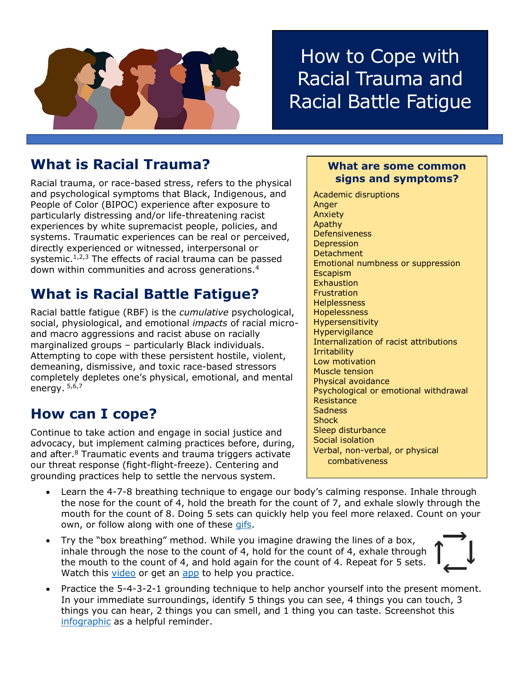

# How to Cope with Racial Trauma and Racial Battle Fatigue

### **What is Racial Trauma?**

Racial trauma, or race-based stress, refers to the physical and psychological symptoms that Black, Indigenous, and People of Color (BIPOC) experience after exposure to particularly distressing and/or life-threatening racist experiences by white supremacist people, policies, and systems. Traumatic experiences can be real or perceived, directly experienced or witnessed, interpersonal or systemic. $1,2,3$  The effects of racial trauma can be passed down within communities and across generations.<sup>4</sup>

## **What is Racial Battle Fatigue?**

Racial battle fatigue (RBF) is the *cumulative* psychological, social, physiological, and emotional *impacts* of racial microand macro aggressions and racist abuse on racially marginalized groups – particularly Black individuals. Attempting to cope with these persistent hostile, violent, demeaning, dismissive, and toxic race-based stressors completely depletes one's physical, emotional, and mental energy. 5,6,7

#### **How can I cope?**

Continue to take action and engage in social justice and advocacy, but implement calming practices before, during, and after.<sup>8</sup> Traumatic events and trauma triggers activate our threat response (fight-flight-freeze). Centering and grounding practices help to settle the nervous system.

#### **What are some common signs and symptoms?**

Academic disruptions Anger Anxiety Apathy Defensiveness **Depression Detachment** Emotional numbness or suppression Escapism **Exhaustion Frustration Helplessness** Hopelessness Hypersensitivity **Hypervigilance** Internalization of racist attributions **Irritability** Low motivation Muscle tension Physical avoidance Psychological or emotional withdrawal **Resistance Sadness Shock** Sleep disturbance Social isolation Verbal, non-verbal, or physical combativeness

- Learn the 4-7-8 breathing technique to engage our body's calming response. Inhale through the nose for the count of 4, hold the breath for the count of 7, and exhale slowly through the mouth for the count of 8. Doing 5 sets can quickly help you feel more relaxed. Count on your own, or follow along with one of these [gifs.](https://imgur.com/gallery/Czbn6de)
- Try the "box breathing" method. While you imagine drawing the lines of a box, inhale through the nose to the count of 4, hold for the count of 4, exhale through the mouth to the count of 4, and hold again for the count of 4. Repeat for 5 sets. Watch this [video](https://www.youtube.com/watch?v=FJJazKtH_9I) or get an [app](https://boxbreathing.org/) to help you practice.



 Practice the 5-4-3-2-1 grounding technique to help anchor yourself into the present moment. In your immediate surroundings, identify 5 things you can see, 4 things you can touch, 3 things you can hear, 2 things you can smell, and 1 thing you can taste. Screenshot this [infographic](https://theblissfulmind.com/grounding-technique/) as a helpful reminder.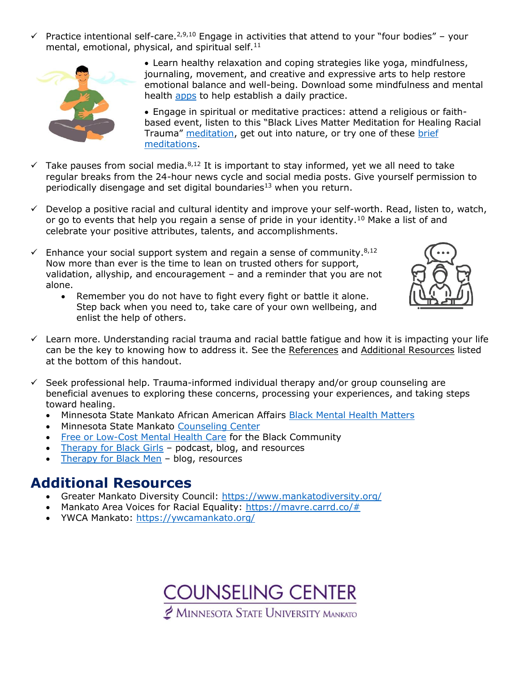$\checkmark$  Practice intentional self-care.<sup>2,9,10</sup> Engage in activities that attend to your "four bodies" – your mental, emotional, physical, and spiritual self.<sup>11</sup>



 Learn healthy relaxation and coping strategies like yoga, mindfulness, journaling, movement, and creative and expressive arts to help restore emotional balance and well-being. Download some mindfulness and mental health [apps](https://mentalhealthmn.org/support/mental-health-apps/) to help establish a daily practice.

 Engage in spiritual or meditative practices: attend a religious or faithbased event, listen to this "Black Lives Matter Meditation for Healing Racial Trauma" [meditation,](https://soundcloud.com/drcandicenicole/black-lives-matter-meditation-for-healing-racial-trauma) get out into nature, or try one of these [brief](https://www.taoconnect.org/english-exercises)  [meditations.](https://www.taoconnect.org/english-exercises)

- $\checkmark$  Take pauses from social media.<sup>8,12</sup> It is important to stay informed, yet we all need to take regular breaks from the 24-hour news cycle and social media posts. Give yourself permission to periodically disengage and set digital boundaries<sup>13</sup> when you return.
- $\checkmark$  Develop a positive racial and cultural identity and improve your self-worth. Read, listen to, watch, or go to events that help you regain a sense of pride in your identity.<sup>10</sup> Make a list of and celebrate your positive attributes, talents, and accomplishments.
- $\checkmark$  Enhance your social support system and regain a sense of community.<sup>8,12</sup> Now more than ever is the time to lean on trusted others for support, validation, allyship, and encouragement – and a reminder that you are not alone.
	- Remember you do not have to fight every fight or battle it alone. Step back when you need to, take care of your own wellbeing, and enlist the help of others.



- $\checkmark$  Learn more. Understanding racial trauma and racial battle fatigue and how it is impacting your life can be the key to knowing how to address it. See the References and Additional Resources listed at the bottom of this handout.
- $\checkmark$  Seek professional help. Trauma-informed individual therapy and/or group counseling are beneficial avenues to exploring these concerns, processing your experiences, and taking steps toward healing.
	- Minnesota State Mankato African American Affairs [Black Mental Health Matters](https://mankato.mnsu.edu/university-life/diversity-and-inclusion/dish-events/black-mental-health-matters2/)
	- Minnesota State Mankato [Counseling Center](http://www.mnsu.edu/counseling/)
	- [Free or Low-Cost Mental Health Care](https://www.womenshealthmag.com/health/a32826823/free-therapy-black-community/) for the Black Community
	- [Therapy for Black Girls](https://therapyforblackgirls.com/) podcast, blog, and resources
	- [Therapy for Black Men](https://therapyforblackmen.org/) blog, resources

#### **Additional Resources**

- Greater Mankato Diversity Council:<https://www.mankatodiversity.org/>
- Mankato Area Voices for Racial Equality: [https://mavre.carrd.co/#](https://mavre.carrd.co/)
- YWCA Mankato:<https://ywcamankato.org/>